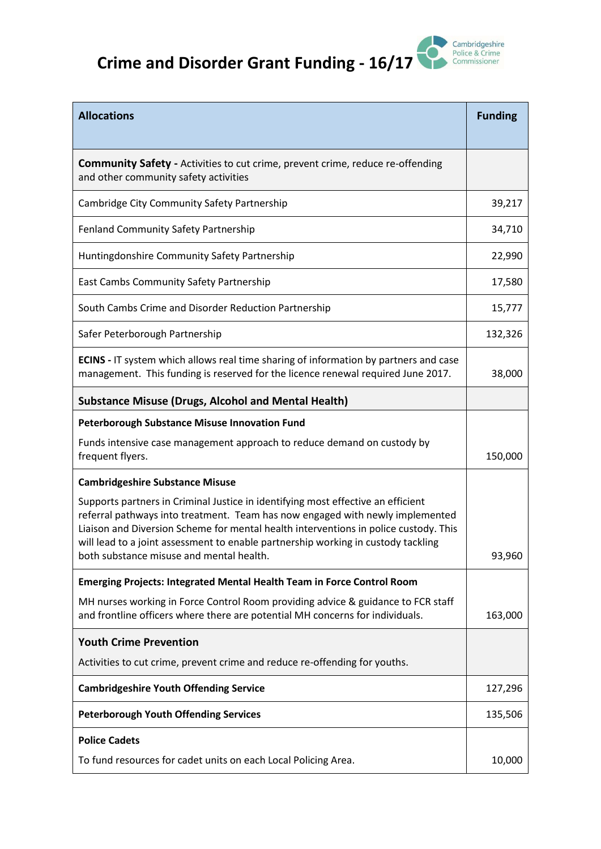## **Crime and Disorder Grant Funding - 16/17**



| <b>Allocations</b>                                                                                                                                                                                                                                                                                                                                                                         | <b>Funding</b> |
|--------------------------------------------------------------------------------------------------------------------------------------------------------------------------------------------------------------------------------------------------------------------------------------------------------------------------------------------------------------------------------------------|----------------|
| <b>Community Safety</b> - Activities to cut crime, prevent crime, reduce re-offending<br>and other community safety activities                                                                                                                                                                                                                                                             |                |
| Cambridge City Community Safety Partnership                                                                                                                                                                                                                                                                                                                                                | 39,217         |
| Fenland Community Safety Partnership                                                                                                                                                                                                                                                                                                                                                       | 34,710         |
| Huntingdonshire Community Safety Partnership                                                                                                                                                                                                                                                                                                                                               | 22,990         |
| East Cambs Community Safety Partnership                                                                                                                                                                                                                                                                                                                                                    | 17,580         |
| South Cambs Crime and Disorder Reduction Partnership                                                                                                                                                                                                                                                                                                                                       | 15,777         |
| Safer Peterborough Partnership                                                                                                                                                                                                                                                                                                                                                             | 132,326        |
| <b>ECINS</b> - IT system which allows real time sharing of information by partners and case<br>management. This funding is reserved for the licence renewal required June 2017.                                                                                                                                                                                                            | 38,000         |
| <b>Substance Misuse (Drugs, Alcohol and Mental Health)</b>                                                                                                                                                                                                                                                                                                                                 |                |
| <b>Peterborough Substance Misuse Innovation Fund</b>                                                                                                                                                                                                                                                                                                                                       |                |
| Funds intensive case management approach to reduce demand on custody by<br>frequent flyers.                                                                                                                                                                                                                                                                                                | 150,000        |
| <b>Cambridgeshire Substance Misuse</b>                                                                                                                                                                                                                                                                                                                                                     |                |
| Supports partners in Criminal Justice in identifying most effective an efficient<br>referral pathways into treatment. Team has now engaged with newly implemented<br>Liaison and Diversion Scheme for mental health interventions in police custody. This<br>will lead to a joint assessment to enable partnership working in custody tackling<br>both substance misuse and mental health. | 93,960         |
| <b>Emerging Projects: Integrated Mental Health Team in Force Control Room</b>                                                                                                                                                                                                                                                                                                              |                |
| MH nurses working in Force Control Room providing advice & guidance to FCR staff<br>and frontline officers where there are potential MH concerns for individuals.                                                                                                                                                                                                                          | 163,000        |
| <b>Youth Crime Prevention</b>                                                                                                                                                                                                                                                                                                                                                              |                |
| Activities to cut crime, prevent crime and reduce re-offending for youths.                                                                                                                                                                                                                                                                                                                 |                |
| <b>Cambridgeshire Youth Offending Service</b>                                                                                                                                                                                                                                                                                                                                              | 127,296        |
| <b>Peterborough Youth Offending Services</b>                                                                                                                                                                                                                                                                                                                                               | 135,506        |
| <b>Police Cadets</b>                                                                                                                                                                                                                                                                                                                                                                       |                |
| To fund resources for cadet units on each Local Policing Area.                                                                                                                                                                                                                                                                                                                             | 10,000         |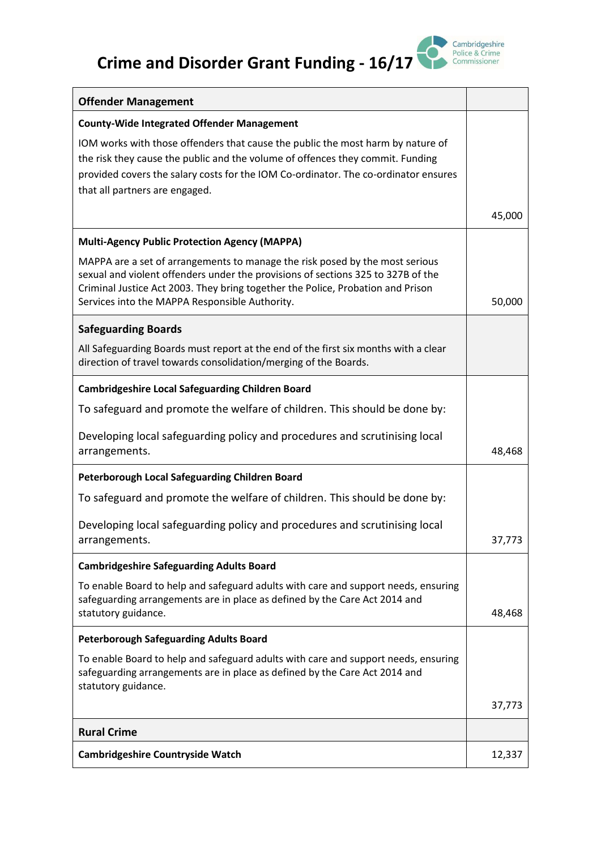## **Crime and Disorder Grant Funding - 16/17**



| <b>Offender Management</b>                                                                                                                                                                                                                                                                            |        |
|-------------------------------------------------------------------------------------------------------------------------------------------------------------------------------------------------------------------------------------------------------------------------------------------------------|--------|
| <b>County-Wide Integrated Offender Management</b>                                                                                                                                                                                                                                                     |        |
| IOM works with those offenders that cause the public the most harm by nature of<br>the risk they cause the public and the volume of offences they commit. Funding<br>provided covers the salary costs for the IOM Co-ordinator. The co-ordinator ensures<br>that all partners are engaged.            |        |
|                                                                                                                                                                                                                                                                                                       | 45,000 |
| <b>Multi-Agency Public Protection Agency (MAPPA)</b>                                                                                                                                                                                                                                                  |        |
| MAPPA are a set of arrangements to manage the risk posed by the most serious<br>sexual and violent offenders under the provisions of sections 325 to 327B of the<br>Criminal Justice Act 2003. They bring together the Police, Probation and Prison<br>Services into the MAPPA Responsible Authority. | 50,000 |
| <b>Safeguarding Boards</b>                                                                                                                                                                                                                                                                            |        |
| All Safeguarding Boards must report at the end of the first six months with a clear<br>direction of travel towards consolidation/merging of the Boards.                                                                                                                                               |        |
| <b>Cambridgeshire Local Safeguarding Children Board</b>                                                                                                                                                                                                                                               |        |
| To safeguard and promote the welfare of children. This should be done by:                                                                                                                                                                                                                             |        |
| Developing local safeguarding policy and procedures and scrutinising local<br>arrangements.                                                                                                                                                                                                           | 48,468 |
| Peterborough Local Safeguarding Children Board                                                                                                                                                                                                                                                        |        |
| To safeguard and promote the welfare of children. This should be done by:                                                                                                                                                                                                                             |        |
| Developing local safeguarding policy and procedures and scrutinising local<br>arrangements.                                                                                                                                                                                                           | 37,773 |
| <b>Cambridgeshire Safeguarding Adults Board</b>                                                                                                                                                                                                                                                       |        |
| To enable Board to help and safeguard adults with care and support needs, ensuring<br>safeguarding arrangements are in place as defined by the Care Act 2014 and<br>statutory guidance.                                                                                                               | 48,468 |
| <b>Peterborough Safeguarding Adults Board</b>                                                                                                                                                                                                                                                         |        |
| To enable Board to help and safeguard adults with care and support needs, ensuring<br>safeguarding arrangements are in place as defined by the Care Act 2014 and<br>statutory guidance.                                                                                                               |        |
|                                                                                                                                                                                                                                                                                                       | 37,773 |
| <b>Rural Crime</b>                                                                                                                                                                                                                                                                                    |        |
| <b>Cambridgeshire Countryside Watch</b>                                                                                                                                                                                                                                                               | 12,337 |